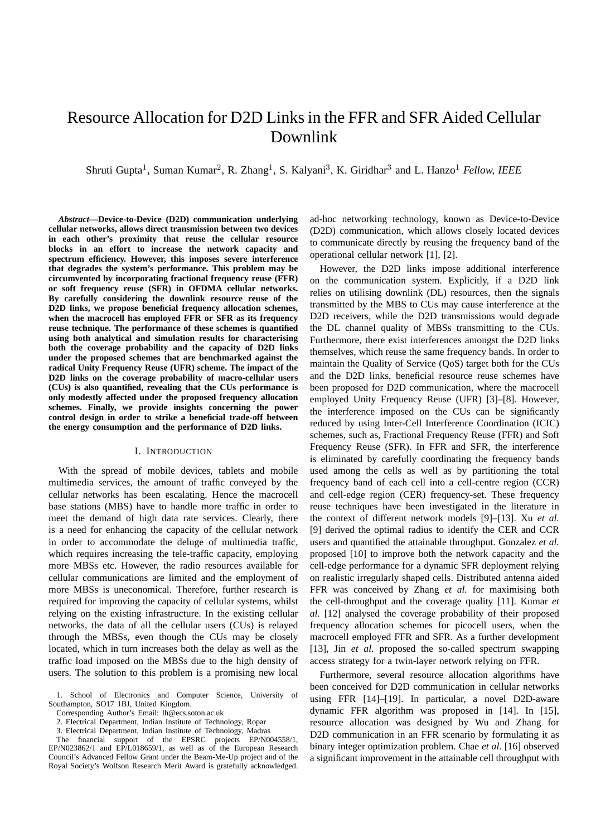# Resource Allocation for D2D Links in the FFR and SFR Aided Cellular Downlink

Shruti Gupta<sup>1</sup>, Suman Kumar<sup>2</sup>, R. Zhang<sup>1</sup>, S. Kalyani<sup>3</sup>, K. Giridhar<sup>3</sup> and L. Hanzo<sup>1</sup> Fellow, IEEE

*Abstract***—Device-to-Device (D2D) communication underlying cellular networks, allows direct transmission between two devices in each other's proximity that reuse the cellular resource blocks in an effort to increase the network capacity and spectrum efficiency. However, this imposes severe interference that degrades the system's performance. This problem may be circumvented by incorporating fractional frequency reuse (FFR) or soft frequency reuse (SFR) in OFDMA cellular networks. By carefully considering the downlink resource reuse of the D2D links, we propose beneficial frequency allocation schemes, when the macrocell has employed FFR or SFR as its frequency reuse technique. The performance of these schemes is quantified using both analytical and simulation results for characterising both the coverage probability and the capacity of D2D links under the proposed schemes that are benchmarked against the radical Unity Frequency Reuse (UFR) scheme. The impact of the D2D links on the coverage probability of macro-cellular users (CUs) is also quantified, revealing that the CUs performance is only modestly affected under the proposed frequency allocation schemes. Finally, we provide insights concerning the power control design in order to strike a beneficial trade-off between the energy consumption and the performance of D2D links.**

#### I. INTRODUCTION

With the spread of mobile devices, tablets and mobile multimedia services, the amount of traffic conveyed by the cellular networks has been escalating. Hence the macrocell base stations (MBS) have to handle more traffic in order to meet the demand of high data rate services. Clearly, there is a need for enhancing the capacity of the cellular network in order to accommodate the deluge of multimedia traffic, which requires increasing the tele-traffic capacity, employing more MBSs etc. However, the radio resources available for cellular communications are limited and the employment of more MBSs is uneconomical. Therefore, further research is required for improving the capacity of cellular systems, whilst relying on the existing infrastructure. In the existing cellular networks, the data of all the cellular users (CUs) is relayed through the MBSs, even though the CUs may be closely located, which in turn increases both the delay as well as the traffic load imposed on the MBSs due to the high density of users. The solution to this problem is a promising new local

1. School of Electronics and Computer Science, University of Southampton, SO17 1BJ, United Kingdom.

Corresponding Author's Email: lh@ecs.soton.ac.uk

2. Electrical Department, Indian Institute of Technology, Ropar

3. Electrical Department, Indian Institute of Technology, Madras

The financial support of the EPSRC projects EP/N004558/1, EP/N023862/1 and EP/L018659/1, as well as of the European Research Council's Advanced Fellow Grant under the Beam-Me-Up project and of the Royal Society's Wolfson Research Merit Award is gratefully acknowledged.

ad-hoc networking technology, known as Device-to-Device (D2D) communication, which allows closely located devices to communicate directly by reusing the frequency band of the operational cellular network [1], [2].

However, the D2D links impose additional interference on the communication system. Explicitly, if a D2D link relies on utilising downlink (DL) resources, then the signals transmitted by the MBS to CUs may cause interference at the D2D receivers, while the D2D transmissions would degrade the DL channel quality of MBSs transmitting to the CUs. Furthermore, there exist interferences amongst the D2D links themselves, which reuse the same frequency bands. In order to maintain the Quality of Service (QoS) target both for the CUs and the D2D links, beneficial resource reuse schemes have been proposed for D2D communication, where the macrocell employed Unity Frequency Reuse (UFR) [3]–[8]. However, the interference imposed on the CUs can be significantly reduced by using Inter-Cell Interference Coordination (ICIC) schemes, such as, Fractional Frequency Reuse (FFR) and Soft Frequency Reuse (SFR). In FFR and SFR, the interference is eliminated by carefully coordinating the frequency bands used among the cells as well as by partitioning the total frequency band of each cell into a cell-centre region (CCR) and cell-edge region (CER) frequency-set. These frequency reuse techniques have been investigated in the literature in the context of different network models [9]–[13]. Xu *et al.* [9] derived the optimal radius to identify the CER and CCR users and quantified the attainable throughput. Gonzalez *et al.* proposed [10] to improve both the network capacity and the cell-edge performance for a dynamic SFR deployment relying on realistic irregularly shaped cells. Distributed antenna aided FFR was conceived by Zhang *et al.* for maximising both the cell-throughput and the coverage quality [11]. Kumar *et al.* [12] analysed the coverage probability of their proposed frequency allocation schemes for picocell users, when the macrocell employed FFR and SFR. As a further development [13], Jin *et al.* proposed the so-called spectrum swapping access strategy for a twin-layer network relying on FFR.

Furthermore, several resource allocation algorithms have been conceived for D2D communication in cellular networks using FFR [14]–[19]. In particular, a novel D2D-aware dynamic FFR algorithm was proposed in [14]. In [15], resource allocation was designed by Wu and Zhang for D2D communication in an FFR scenario by formulating it as binary integer optimization problem. Chae *et al.* [16] observed a significant improvement in the attainable cell throughput with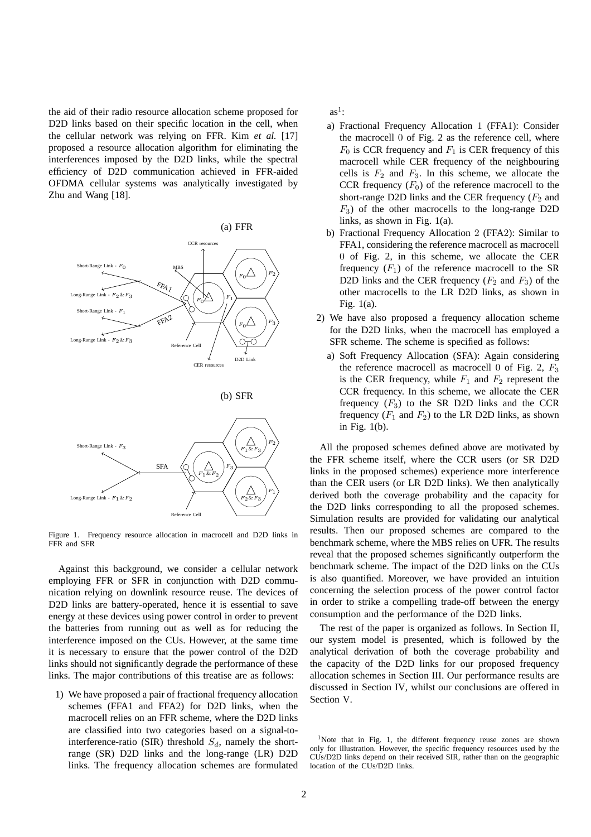the aid of their radio resource allocation scheme proposed for D2D links based on their specific location in the cell, when the cellular network was relying on FFR. Kim *et al.* [17] proposed a resource allocation algorithm for eliminating the interferences imposed by the D2D links, while the spectral efficiency of D2D communication achieved in FFR-aided OFDMA cellular systems was analytically investigated by Zhu and Wang [18].



Figure 1. Frequency resource allocation in macrocell and D2D links in FFR and SFR

Against this background, we consider a cellular network employing FFR or SFR in conjunction with D2D communication relying on downlink resource reuse. The devices of D2D links are battery-operated, hence it is essential to save energy at these devices using power control in order to prevent the batteries from running out as well as for reducing the interference imposed on the CUs. However, at the same time it is necessary to ensure that the power control of the D2D links should not significantly degrade the performance of these links. The major contributions of this treatise are as follows:

1) We have proposed a pair of fractional frequency allocation schemes (FFA1 and FFA2) for D2D links, when the macrocell relies on an FFR scheme, where the D2D links are classified into two categories based on a signal-tointerference-ratio (SIR) threshold  $S_d$ , namely the shortrange (SR) D2D links and the long-range (LR) D2D links. The frequency allocation schemes are formulated  $as<sup>1</sup>$ :

- a) Fractional Frequency Allocation 1 (FFA1): Consider the macrocell 0 of Fig. 2 as the reference cell, where  $F_0$  is CCR frequency and  $F_1$  is CER frequency of this macrocell while CER frequency of the neighbouring cells is  $F_2$  and  $F_3$ . In this scheme, we allocate the CCR frequency  $(F_0)$  of the reference macrocell to the short-range D2D links and the CER frequency  $(F_2 \text{ and }$  $F_3$ ) of the other macrocells to the long-range D2D links, as shown in Fig. 1(a).
- b) Fractional Frequency Allocation 2 (FFA2): Similar to FFA1, considering the reference macrocell as macrocell 0 of Fig. 2, in this scheme, we allocate the CER frequency  $(F_1)$  of the reference macrocell to the SR D2D links and the CER frequency  $(F_2 \text{ and } F_3)$  of the other macrocells to the LR D2D links, as shown in Fig. 1(a).
- 2) We have also proposed a frequency allocation scheme for the D2D links, when the macrocell has employed a SFR scheme. The scheme is specified as follows:
	- a) Soft Frequency Allocation (SFA): Again considering the reference macrocell as macrocell 0 of Fig. 2,  $F_3$ is the CER frequency, while  $F_1$  and  $F_2$  represent the CCR frequency. In this scheme, we allocate the CER frequency  $(F_3)$  to the SR D2D links and the CCR frequency  $(F_1$  and  $F_2)$  to the LR D2D links, as shown in Fig. 1(b).

All the proposed schemes defined above are motivated by the FFR scheme itself, where the CCR users (or SR D2D links in the proposed schemes) experience more interference than the CER users (or LR D2D links). We then analytically derived both the coverage probability and the capacity for the D2D links corresponding to all the proposed schemes. Simulation results are provided for validating our analytical results. Then our proposed schemes are compared to the benchmark scheme, where the MBS relies on UFR. The results reveal that the proposed schemes significantly outperform the benchmark scheme. The impact of the D2D links on the CUs is also quantified. Moreover, we have provided an intuition concerning the selection process of the power control factor in order to strike a compelling trade-off between the energy consumption and the performance of the D2D links.

The rest of the paper is organized as follows. In Section II, our system model is presented, which is followed by the analytical derivation of both the coverage probability and the capacity of the D2D links for our proposed frequency allocation schemes in Section III. Our performance results are discussed in Section IV, whilst our conclusions are offered in Section V.

<sup>&</sup>lt;sup>1</sup>Note that in Fig. 1, the different frequency reuse zones are shown only for illustration. However, the specific frequency resources used by the CUs/D2D links depend on their received SIR, rather than on the geographic location of the CUs/D2D links.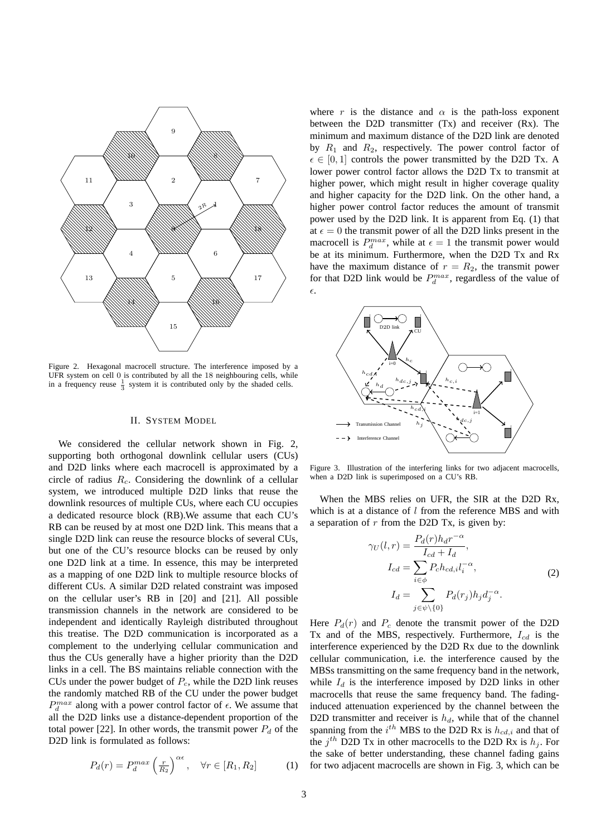

Figure 2. Hexagonal macrocell structure. The interference imposed by a UFR system on cell 0 is contributed by all the 18 neighbouring cells, while in a frequency reuse  $\frac{1}{3}$  system it is contributed only by the shaded cells.

# II. SYSTEM MODEL

We considered the cellular network shown in Fig. 2, supporting both orthogonal downlink cellular users (CUs) and D2D links where each macrocell is approximated by a circle of radius  $R_c$ . Considering the downlink of a cellular system, we introduced multiple D2D links that reuse the downlink resources of multiple CUs, where each CU occupies a dedicated resource block (RB).We assume that each CU's RB can be reused by at most one D2D link. This means that a single D2D link can reuse the resource blocks of several CUs, but one of the CU's resource blocks can be reused by only one D2D link at a time. In essence, this may be interpreted as a mapping of one D2D link to multiple resource blocks of different CUs. A similar D2D related constraint was imposed on the cellular user's RB in [20] and [21]. All possible transmission channels in the network are considered to be independent and identically Rayleigh distributed throughout this treatise. The D2D communication is incorporated as a complement to the underlying cellular communication and thus the CUs generally have a higher priority than the D2D links in a cell. The BS maintains reliable connection with the CUs under the power budget of  $P_c$ , while the D2D link reuses the randomly matched RB of the CU under the power budget  $P_d^{max}$  along with a power control factor of  $\epsilon$ . We assume that all the D2D links use a distance-dependent proportion of the total power [22]. In other words, the transmit power  $P_d$  of the D2D link is formulated as follows:

$$
P_d(r) = P_d^{max}\left(\frac{r}{R_2}\right)^{\alpha\epsilon}, \quad \forall r \in [R_1, R_2] \tag{1}
$$

where r is the distance and  $\alpha$  is the path-loss exponent between the D2D transmitter (Tx) and receiver (Rx). The minimum and maximum distance of the D2D link are denoted by  $R_1$  and  $R_2$ , respectively. The power control factor of  $\epsilon \in [0, 1]$  controls the power transmitted by the D2D Tx. A lower power control factor allows the D2D Tx to transmit at higher power, which might result in higher coverage quality and higher capacity for the D2D link. On the other hand, a higher power control factor reduces the amount of transmit power used by the D2D link. It is apparent from Eq. (1) that at  $\epsilon = 0$  the transmit power of all the D2D links present in the macrocell is  $P_d^{max}$ , while at  $\epsilon = 1$  the transmit power would be at its minimum. Furthermore, when the D2D Tx and Rx have the maximum distance of  $r = R_2$ , the transmit power for that D2D link would be  $P_d^{max}$ , regardless of the value of ǫ.



Figure 3. Illustration of the interfering links for two adjacent macrocells, when a D2D link is superimposed on a CU's RB.

When the MBS relies on UFR, the SIR at the D2D Rx, which is at a distance of  $l$  from the reference MBS and with a separation of  $r$  from the D2D Tx, is given by:

$$
\gamma_U(l,r) = \frac{P_d(r)h_d r^{-\alpha}}{I_{cd} + I_d},
$$
  
\n
$$
I_{cd} = \sum_{i \in \phi} P_c h_{cd,i} l_i^{-\alpha},
$$
  
\n
$$
I_d = \sum_{j \in \psi \setminus \{0\}} P_d(r_j) h_j d_j^{-\alpha}.
$$
\n(2)

Here  $P_d(r)$  and  $P_c$  denote the transmit power of the D2D Tx and of the MBS, respectively. Furthermore,  $I_{cd}$  is the interference experienced by the D2D Rx due to the downlink cellular communication, i.e. the interference caused by the MBSs transmitting on the same frequency band in the network, while  $I_d$  is the interference imposed by D2D links in other macrocells that reuse the same frequency band. The fadinginduced attenuation experienced by the channel between the D2D transmitter and receiver is  $h_d$ , while that of the channel spanning from the  $i^{th}$  MBS to the D2D Rx is  $h_{cd,i}$  and that of the  $j<sup>th</sup>$  D2D Tx in other macrocells to the D2D Rx is  $h_j$ . For the sake of better understanding, these channel fading gains for two adjacent macrocells are shown in Fig. 3, which can be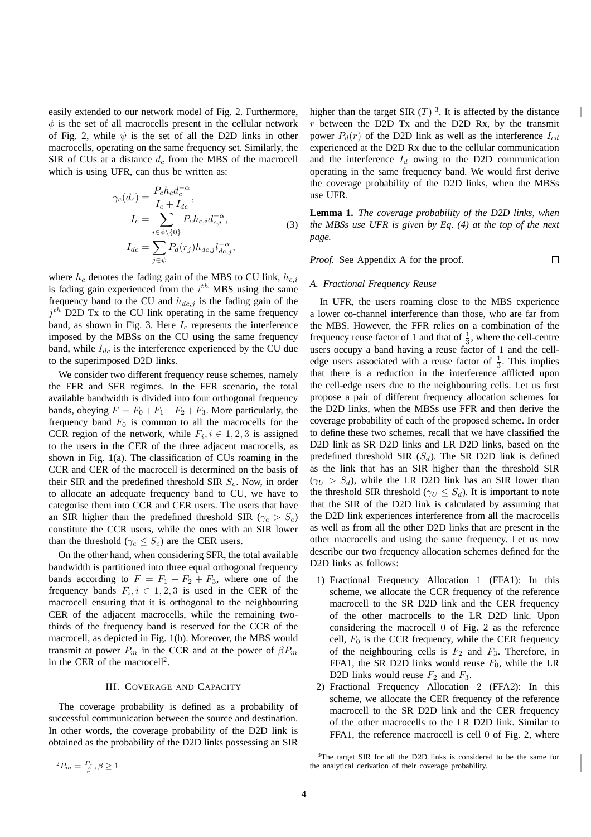easily extended to our network model of Fig. 2. Furthermore,  $\phi$  is the set of all macrocells present in the cellular network of Fig. 2, while  $\psi$  is the set of all the D2D links in other macrocells, operating on the same frequency set. Similarly, the SIR of CUs at a distance  $d_c$  from the MBS of the macrocell which is using UFR, can thus be written as:

$$
\gamma_c(d_c) = \frac{P_c h_c d_c^{-\alpha}}{I_c + I_{dc}},
$$
  
\n
$$
I_c = \sum_{i \in \phi \setminus \{0\}} P_c h_{c,i} d_{c,i}^{-\alpha},
$$
  
\n
$$
I_{dc} = \sum_{j \in \psi} P_d(r_j) h_{dc,j} l_{dc,j}^{-\alpha},
$$
\n(3)

where  $h_c$  denotes the fading gain of the MBS to CU link,  $h_{c,i}$ is fading gain experienced from the  $i^{th}$  MBS using the same frequency band to the CU and  $h_{dc,j}$  is the fading gain of the  $j<sup>th</sup>$  D2D Tx to the CU link operating in the same frequency band, as shown in Fig. 3. Here  $I_c$  represents the interference imposed by the MBSs on the CU using the same frequency band, while  $I_{dc}$  is the interference experienced by the CU due to the superimposed D2D links.

We consider two different frequency reuse schemes, namely the FFR and SFR regimes. In the FFR scenario, the total available bandwidth is divided into four orthogonal frequency bands, obeying  $F = F_0 + F_1 + F_2 + F_3$ . More particularly, the frequency band  $F_0$  is common to all the macrocells for the CCR region of the network, while  $F_i, i \in {1, 2, 3}$  is assigned to the users in the CER of the three adjacent macrocells, as shown in Fig. 1(a). The classification of CUs roaming in the CCR and CER of the macrocell is determined on the basis of their SIR and the predefined threshold SIR  $S_c$ . Now, in order to allocate an adequate frequency band to CU, we have to categorise them into CCR and CER users. The users that have an SIR higher than the predefined threshold SIR ( $\gamma_c > S_c$ ) constitute the CCR users, while the ones with an SIR lower than the threshold ( $\gamma_c \leq S_c$ ) are the CER users.

On the other hand, when considering SFR, the total available bandwidth is partitioned into three equal orthogonal frequency bands according to  $F = F_1 + F_2 + F_3$ , where one of the frequency bands  $F_i, i \in 1, 2, 3$  is used in the CER of the macrocell ensuring that it is orthogonal to the neighbouring CER of the adjacent macrocells, while the remaining twothirds of the frequency band is reserved for the CCR of the macrocell, as depicted in Fig. 1(b). Moreover, the MBS would transmit at power  $P_m$  in the CCR and at the power of  $\beta P_m$ in the CER of the macrocell<sup>2</sup>.

#### III. COVERAGE AND CAPACITY

The coverage probability is defined as a probability of successful communication between the source and destination. In other words, the coverage probability of the D2D link is obtained as the probability of the D2D links possessing an SIR

higher than the target SIR  $(T)$ <sup>3</sup>. It is affected by the distance  $r$  between the D2D Tx and the D2D Rx, by the transmit power  $P_d(r)$  of the D2D link as well as the interference  $I_{cd}$ experienced at the D2D Rx due to the cellular communication and the interference  $I_d$  owing to the D2D communication operating in the same frequency band. We would first derive the coverage probability of the D2D links, when the MBSs use UFR.

I

**Lemma 1.** *The coverage probability of the D2D links, when the MBSs use UFR is given by Eq. (4) at the top of the next page.*

*Proof.* See Appendix A for the proof.  $\Box$ 

#### *A. Fractional Frequency Reuse*

In UFR, the users roaming close to the MBS experience a lower co-channel interference than those, who are far from the MBS. However, the FFR relies on a combination of the frequency reuse factor of 1 and that of  $\frac{1}{3}$ , where the cell-centre users occupy a band having a reuse factor of 1 and the celledge users associated with a reuse factor of  $\frac{1}{3}$ . This implies that there is a reduction in the interference afflicted upon the cell-edge users due to the neighbouring cells. Let us first propose a pair of different frequency allocation schemes for the D2D links, when the MBSs use FFR and then derive the coverage probability of each of the proposed scheme. In order to define these two schemes, recall that we have classified the D2D link as SR D2D links and LR D2D links, based on the predefined threshold SIR  $(S_d)$ . The SR D2D link is defined as the link that has an SIR higher than the threshold SIR  $(\gamma_U > S_d)$ , while the LR D2D link has an SIR lower than the threshold SIR threshold ( $\gamma_U \leq S_d$ ). It is important to note that the SIR of the D2D link is calculated by assuming that the D2D link experiences interference from all the macrocells as well as from all the other D2D links that are present in the other macrocells and using the same frequency. Let us now describe our two frequency allocation schemes defined for the D2D links as follows:

- 1) Fractional Frequency Allocation 1 (FFA1): In this scheme, we allocate the CCR frequency of the reference macrocell to the SR D2D link and the CER frequency of the other macrocells to the LR D2D link. Upon considering the macrocell 0 of Fig. 2 as the reference cell,  $F_0$  is the CCR frequency, while the CER frequency of the neighbouring cells is  $F_2$  and  $F_3$ . Therefore, in FFA1, the SR D2D links would reuse  $F_0$ , while the LR D2D links would reuse  $F_2$  and  $F_3$ .
- 2) Fractional Frequency Allocation 2 (FFA2): In this scheme, we allocate the CER frequency of the reference macrocell to the SR D2D link and the CER frequency of the other macrocells to the LR D2D link. Similar to FFA1, the reference macrocell is cell 0 of Fig. 2, where

 ${}^{2}P_{m}=\frac{P_{c}}{\beta}, \beta \geq 1$ 

<sup>3</sup>The target SIR for all the D2D links is considered to be the same for the analytical derivation of their coverage probability.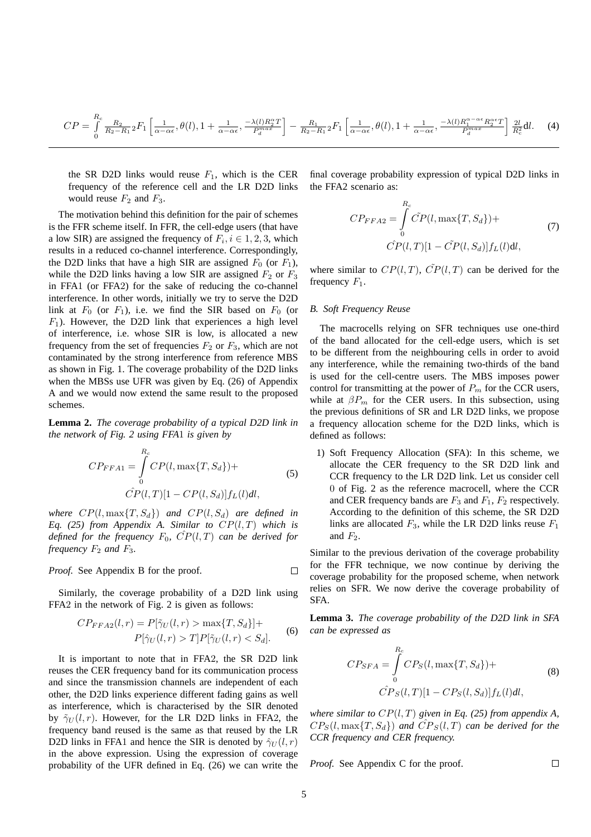$$
CP = \int_{0}^{R_c} \frac{R_2}{R_2 - R_1} {}_2F_1 \left[ \frac{1}{\alpha - \alpha \epsilon}, \theta(l), 1 + \frac{1}{\alpha - \alpha \epsilon}, \frac{-\lambda(l)R_2^{\alpha}T}{P_d^{\alpha \alpha}} \right] - \frac{R_1}{R_2 - R_1} {}_2F_1 \left[ \frac{1}{\alpha - \alpha \epsilon}, \theta(l), 1 + \frac{1}{\alpha - \alpha \epsilon}, \frac{-\lambda(l)R_1^{\alpha - \alpha \epsilon}R_2^{\alpha \epsilon}T}{P_d^{\alpha \alpha \epsilon}} \right] \frac{2l}{R_c^2} dl. \tag{4}
$$

the SR D2D links would reuse  $F_1$ , which is the CER frequency of the reference cell and the LR D2D links would reuse  $F_2$  and  $F_3$ .

The motivation behind this definition for the pair of schemes is the FFR scheme itself. In FFR, the cell-edge users (that have a low SIR) are assigned the frequency of  $F_i$ ,  $i \in 1, 2, 3$ , which results in a reduced co-channel interference. Correspondingly, the D2D links that have a high SIR are assigned  $F_0$  (or  $F_1$ ), while the D2D links having a low SIR are assigned  $F_2$  or  $F_3$ in FFA1 (or FFA2) for the sake of reducing the co-channel interference. In other words, initially we try to serve the D2D link at  $F_0$  (or  $F_1$ ), i.e. we find the SIR based on  $F_0$  (or  $F_1$ ). However, the D2D link that experiences a high level of interference, i.e. whose SIR is low, is allocated a new frequency from the set of frequencies  $F_2$  or  $F_3$ , which are not contaminated by the strong interference from reference MBS as shown in Fig. 1. The coverage probability of the D2D links when the MBSs use UFR was given by Eq. (26) of Appendix A and we would now extend the same result to the proposed schemes.

**Lemma 2.** *The coverage probability of a typical D2D link in the network of Fig. 2 using FFA*1 *is given by*

$$
CP_{FFA1} = \int_{0}^{R_c} CP(l, \max\{T, S_d\}) +
$$
  

$$
\hat{CP}(l, T)[1 - CP(l, S_d)]f_L(l)dl,
$$
 (5)

*where*  $CP(l, \max\{T, S_d\})$  *and*  $CP(l, S_d)$  *are defined in Eq. (25) from Appendix A. Similar to* CP(l, T) *which is defined for the frequency*  $F_0$ ,  $\hat{CP}(l,T)$  *can be derived for frequency*  $F_2$  *and*  $F_3$ *.* 

*Proof.* See Appendix B for the proof. 
$$
\Box
$$

Similarly, the coverage probability of a D2D link using FFA2 in the network of Fig. 2 is given as follows:

$$
CP_{FFA2}(l,r) = P[\tilde{\gamma}_U(l,r) > \max\{T, S_d\}] +
$$
  
 
$$
P[\hat{\gamma}_U(l,r) > T]P[\tilde{\gamma}_U(l,r) < S_d].
$$
 (6)

It is important to note that in FFA2, the SR D2D link reuses the CER frequency band for its communication process and since the transmission channels are independent of each other, the D2D links experience different fading gains as well as interference, which is characterised by the SIR denoted by  $\tilde{\gamma}_U(l, r)$ . However, for the LR D2D links in FFA2, the frequency band reused is the same as that reused by the LR D2D links in FFA1 and hence the SIR is denoted by  $\hat{\gamma}_{U}(l, r)$ in the above expression. Using the expression of coverage probability of the UFR defined in Eq. (26) we can write the final coverage probability expression of typical D2D links in the FFA2 scenario as:

$$
CP_{FFA2} = \int_{0}^{R_c} \tilde{CP}(l, \max\{T, S_d\}) +
$$
  

$$
\tilde{CP}(l, T)[1 - \tilde{CP}(l, S_d)]f_L(l)dl,
$$
 (7)

where similar to  $CP(l, T)$ ,  $\tilde{CP}(l, T)$  can be derived for the frequency  $F_1$ .

#### *B. Soft Frequency Reuse*

The macrocells relying on SFR techniques use one-third of the band allocated for the cell-edge users, which is set to be different from the neighbouring cells in order to avoid any interference, while the remaining two-thirds of the band is used for the cell-centre users. The MBS imposes power control for transmitting at the power of  $P_m$  for the CCR users, while at  $\beta P_m$  for the CER users. In this subsection, using the previous definitions of SR and LR D2D links, we propose a frequency allocation scheme for the D2D links, which is defined as follows:

1) Soft Frequency Allocation (SFA): In this scheme, we allocate the CER frequency to the SR D2D link and CCR frequency to the LR D2D link. Let us consider cell 0 of Fig. 2 as the reference macrocell, where the CCR and CER frequency bands are  $F_3$  and  $F_1$ ,  $F_2$  respectively. According to the definition of this scheme, the SR D2D links are allocated  $F_3$ , while the LR D2D links reuse  $F_1$ and  $F_2$ .

Similar to the previous derivation of the coverage probability for the FFR technique, we now continue by deriving the coverage probability for the proposed scheme, when network relies on SFR. We now derive the coverage probability of SFA.

**Lemma 3.** *The coverage probability of the D2D link in SFA can be expressed as*

$$
CP_{SFA} = \int_{0}^{R_c} CP_S(l, \max\{T, S_d\}) +
$$
  

$$
\hat{CP}_S(l, T)[1 - CP_S(l, S_d)]f_L(l)dl,
$$
 (8)

 $\Box$ 

*where similar to* CP(l, T) *given in Eq. (25) from appendix A,*  $CP_S(l, \max\{T, S_d\})$  and  $\hat{CP}_S(l, T)$  can be derived for the *CCR frequency and CER frequency.*

*Proof.* See Appendix C for the proof.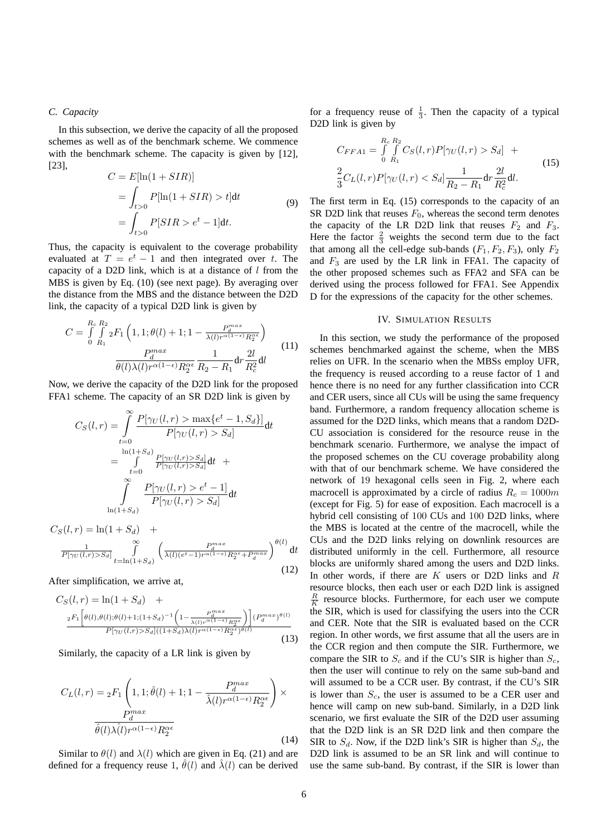# *C. Capacity*

In this subsection, we derive the capacity of all the proposed schemes as well as of the benchmark scheme. We commence with the benchmark scheme. The capacity is given by [12], [23],

$$
C = E[\ln(1 + SIR)]
$$
  
= 
$$
\int_{t>0} P[\ln(1 + SIR) > t]dt
$$
  
= 
$$
\int_{t>0} P[SIR > e^t - 1]dt.
$$
 (9)

Thus, the capacity is equivalent to the coverage probability evaluated at  $T = e^t - 1$  and then integrated over t. The capacity of a D2D link, which is at a distance of  $l$  from the MBS is given by Eq. (10) (see next page). By averaging over the distance from the MBS and the distance between the D2D link, the capacity of a typical D2D link is given by

$$
C = \int_{0}^{R_c} \int_{R_1}^{R_2} {}_{2}F_1\left(1, 1; \theta(l) + 1; 1 - \frac{P_d^{max}}{\lambda(l)r^{\alpha(1-\epsilon)}R_2^{\alpha\epsilon}}\right)
$$

$$
\frac{P_d^{max}}{\theta(l)\lambda(l)r^{\alpha(1-\epsilon)}R_2^{\alpha\epsilon}} \frac{1}{R_2 - R_1} dr \frac{2l}{R_c^2} dl
$$
(11)

Now, we derive the capacity of the D2D link for the proposed FFA1 scheme. The capacity of an SR D2D link is given by

$$
C_S(l,r) = \int_{t=0}^{\infty} \frac{P[\gamma_U(l,r) > \max\{e^t - 1, S_d\}]}{P[\gamma_U(l,r) > S_d]} dt
$$
  

$$
= \int_{t=0}^{\ln(1+S_d)} \frac{P[\gamma_U(l,r) > S_d]}{P[\gamma_U(l,r) > S_d]} dt + \int_{\ln(1+S_d)}^{\infty} \frac{P[\gamma_U(l,r) > e^t - 1]}{P[\gamma_U(l,r) > S_d]} dt
$$

$$
C_S(l,r) = \ln(1+S_d) + \frac{1}{P[\gamma_U(l,r) > S_d]} \int_{t=\ln(1+S_d)}^{\infty} \left(\frac{P_d^{max}}{\lambda(l)(e^t-1)r^{\alpha(1-\epsilon)}R_2^{\alpha\epsilon}+P_d^{max}}\right)^{\theta(l)} dt
$$
\n(12)

After simplification, we arrive at,

$$
C_{S}(l,r) = \ln(1+S_{d}) + \frac{2F_{1}\left[\theta(l),\theta(l);\theta(l)+1;(1+S_{d})^{-1}\left(1-\frac{F_{d}^{max}}{\lambda(l)r^{\alpha(1-\epsilon)}R_{2}^{\alpha\epsilon}}\right)\right](P_{d}^{max})^{\theta(l)}}{P[\gamma_{U}(l,r)>S_{d}]((1+S_{d})\lambda(l)r^{\alpha(1-\epsilon)}R_{2}^{\alpha\epsilon})^{\theta(l)}} \tag{13}
$$

Similarly, the capacity of a LR link is given by

$$
C_{L}(l,r) = {}_{2}F_{1}\left(1,1;\hat{\theta}(l) + 1;1 - \frac{P_{d}^{max}}{\hat{\lambda}(l)r^{\alpha(1-\epsilon)}R_{2}^{\alpha\epsilon}}\right) \times \frac{P_{d}^{max}}{\hat{\theta}(l)\lambda(l)r^{\alpha(1-\epsilon)}R_{2}^{\alpha\epsilon}}
$$
\n(14)

Similar to  $\theta(l)$  and  $\lambda(l)$  which are given in Eq. (21) and are defined for a frequency reuse 1,  $\hat{\theta}(l)$  and  $\hat{\lambda}(l)$  can be derived

for a frequency reuse of  $\frac{1}{3}$ . Then the capacity of a typical D2D link is given by

$$
C_{FFA1} = \int_{0}^{R_c} \int_{R_1}^{R_2} C_S(l, r) P[\gamma_U(l, r) > S_d] +
$$
  
\n
$$
\frac{2}{3} C_L(l, r) P[\gamma_U(l, r) < S_d] \frac{1}{R_2 - R_1} dr \frac{2l}{R_c^2} dl.
$$
\n(15)

The first term in Eq. (15) corresponds to the capacity of an SR D2D link that reuses  $F_0$ , whereas the second term denotes the capacity of the LR D2D link that reuses  $F_2$  and  $F_3$ . Here the factor  $\frac{2}{3}$  weights the second term due to the fact that among all the cell-edge sub-bands  $(F_1, F_2, F_3)$ , only  $F_2$ and  $F_3$  are used by the LR link in FFA1. The capacity of the other proposed schemes such as FFA2 and SFA can be derived using the process followed for FFA1. See Appendix D for the expressions of the capacity for the other schemes.

#### IV. SIMULATION RESULTS

In this section, we study the performance of the proposed schemes benchmarked against the scheme, when the MBS relies on UFR. In the scenario when the MBSs employ UFR, the frequency is reused according to a reuse factor of 1 and hence there is no need for any further classification into CCR and CER users, since all CUs will be using the same frequency band. Furthermore, a random frequency allocation scheme is assumed for the D2D links, which means that a random D2D-CU association is considered for the resource reuse in the benchmark scenario. Furthermore, we analyse the impact of the proposed schemes on the CU coverage probability along with that of our benchmark scheme. We have considered the network of 19 hexagonal cells seen in Fig. 2, where each macrocell is approximated by a circle of radius  $R_c = 1000m$ (except for Fig. 5) for ease of exposition. Each macrocell is a hybrid cell consisting of 100 CUs and 100 D2D links, where the MBS is located at the centre of the macrocell, while the CUs and the D2D links relying on downlink resources are distributed uniformly in the cell. Furthermore, all resource blocks are uniformly shared among the users and D2D links. In other words, if there are  $K$  users or D2D links and  $R$ resource blocks, then each user or each D2D link is assigned  $\frac{R}{K}$  resource blocks. Furthermore, for each user we compute the SIR, which is used for classifying the users into the CCR and CER. Note that the SIR is evaluated based on the CCR region. In other words, we first assume that all the users are in the CCR region and then compute the SIR. Furthermore, we compare the SIR to  $S_c$  and if the CU's SIR is higher than  $S_c$ , then the user will continue to rely on the same sub-band and will assumed to be a CCR user. By contrast, if the CU's SIR is lower than  $S_c$ , the user is assumed to be a CER user and hence will camp on new sub-band. Similarly, in a D2D link scenario, we first evaluate the SIR of the D2D user assuming that the D2D link is an SR D2D link and then compare the SIR to  $S_d$ . Now, if the D2D link's SIR is higher than  $S_d$ , the D2D link is assumed to be an SR link and will continue to use the same sub-band. By contrast, if the SIR is lower than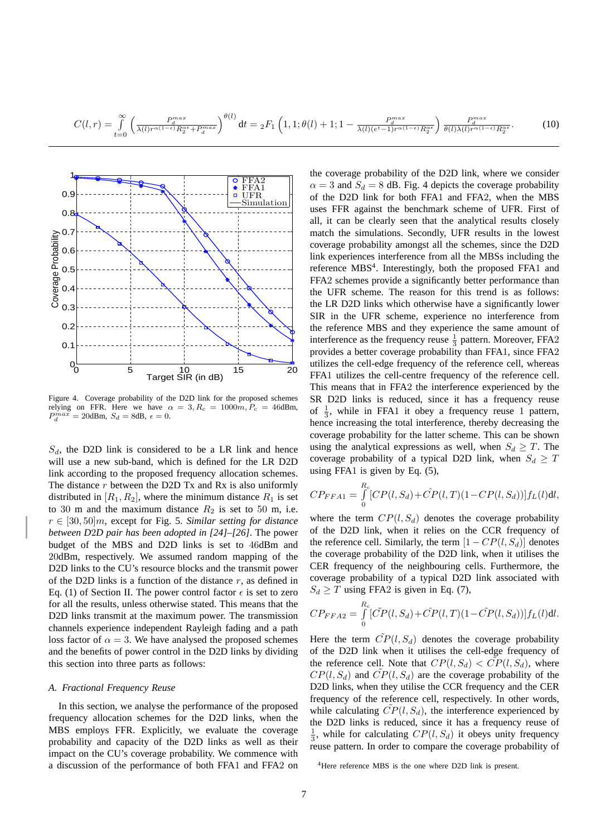$$
C(l,r) = \int_{t=0}^{\infty} \left( \frac{P_d^{max}}{\lambda(l)r^{\alpha(1-\epsilon)}R_2^{\alpha\epsilon} + P_d^{max}} \right)^{\theta(l)} dt = {}_2F_1\left(1,1;\theta(l)+1;1-\frac{P_d^{max}}{\lambda(l)(e^t-1)r^{\alpha(1-\epsilon)}R_2^{\alpha\epsilon}} \right) \frac{P_d^{max}}{\theta(l)\lambda(l)r^{\alpha(1-\epsilon)}R_2^{\alpha\epsilon}}.
$$
 (10)



Figure 4. Coverage probability of the D2D link for the proposed schemes relying on FFR. Here we have  $\alpha = 3, R_c = 1000m, P_c = 46$ dBm,  $P_d^{max} = 20$ dBm,  $S_d = 8$ dB,  $\epsilon = 0$ .

 $S_d$ , the D2D link is considered to be a LR link and hence will use a new sub-band, which is defined for the LR D2D link according to the proposed frequency allocation schemes. The distance  $r$  between the D2D Tx and Rx is also uniformly distributed in  $[R_1, R_2]$ , where the minimum distance  $R_1$  is set to 30 m and the maximum distance  $R_2$  is set to 50 m, i.e. r ∈ [30, 50]m, except for Fig. 5. *Similar setting for distance between D*2*D pair has been adopted in [24]–[26]*. The power budget of the MBS and D2D links is set to 46dBm and 20dBm, respectively. We assumed random mapping of the D2D links to the CU's resource blocks and the transmit power of the D2D links is a function of the distance  $r$ , as defined in Eq. (1) of Section II. The power control factor  $\epsilon$  is set to zero for all the results, unless otherwise stated. This means that the D2D links transmit at the maximum power. The transmission channels experience independent Rayleigh fading and a path loss factor of  $\alpha = 3$ . We have analysed the proposed schemes and the benefits of power control in the D2D links by dividing this section into three parts as follows:

#### *A. Fractional Frequency Reuse*

In this section, we analyse the performance of the proposed frequency allocation schemes for the D2D links, when the MBS employs FFR. Explicitly, we evaluate the coverage probability and capacity of the D2D links as well as their impact on the CU's coverage probability. We commence with a discussion of the performance of both FFA1 and FFA2 on

the coverage probability of the D2D link, where we consider  $\alpha = 3$  and  $S_d = 8$  dB. Fig. 4 depicts the coverage probability of the D2D link for both FFA1 and FFA2, when the MBS uses FFR against the benchmark scheme of UFR. First of all, it can be clearly seen that the analytical results closely match the simulations. Secondly, UFR results in the lowest coverage probability amongst all the schemes, since the D2D link experiences interference from all the MBSs including the reference MBS<sup>4</sup>. Interestingly, both the proposed FFA1 and FFA2 schemes provide a significantly better performance than the UFR scheme. The reason for this trend is as follows: the LR D2D links which otherwise have a significantly lower SIR in the UFR scheme, experience no interference from the reference MBS and they experience the same amount of interference as the frequency reuse  $\frac{1}{3}$  pattern. Moreover, FFA2 provides a better coverage probability than FFA1, since FFA2 utilizes the cell-edge frequency of the reference cell, whereas FFA1 utilizes the cell-centre frequency of the reference cell. This means that in FFA2 the interference experienced by the SR D2D links is reduced, since it has a frequency reuse of  $\frac{1}{3}$ , while in FFA1 it obey a frequency reuse 1 pattern, hence increasing the total interference, thereby decreasing the coverage probability for the latter scheme. This can be shown using the analytical expressions as well, when  $S_d \geq T$ . The coverage probability of a typical D2D link, when  $S_d \geq T$ using FFA1 is given by Eq. (5),

$$
CP_{FFA1} = \int_{0}^{R_c} [CP(l, S_d) + \hat{CP}(l, T)(1 - CP(l, S_d))] f_L(l) \mathrm{d}l,
$$

where the term  $CP(l, S_d)$  denotes the coverage probability of the D2D link, when it relies on the CCR frequency of the reference cell. Similarly, the term  $[1 - CP(l, S_d)]$  denotes the coverage probability of the D2D link, when it utilises the CER frequency of the neighbouring cells. Furthermore, the coverage probability of a typical D2D link associated with  $S_d \geq T$  using FFA2 is given in Eq. (7),

$$
CP_{FFA2} = \int_{0}^{R_c} [\tilde{CP}(l, S_d) + \hat{CP}(l, T)(1 - \tilde{CP}(l, S_d))] f_L(l) \text{d}l.
$$

Here the term  $\tilde{CP}(l, S_d)$  denotes the coverage probability of the D2D link when it utilises the cell-edge frequency of the reference cell. Note that  $CP(l, S_d) < CP(l, S_d)$ , where  $CP(l, S_d)$  and  $CP(l, S_d)$  are the coverage probability of the D2D links, when they utilise the CCR frequency and the CER frequency of the reference cell, respectively. In other words, while calculating  $CP(l, S_d)$ , the interference experienced by the D2D links is reduced, since it has a frequency reuse of  $\frac{1}{3}$ , while for calculating  $CP(l, S_d)$  it obeys unity frequency reuse pattern. In order to compare the coverage probability of

<sup>4</sup>Here reference MBS is the one where D2D link is present.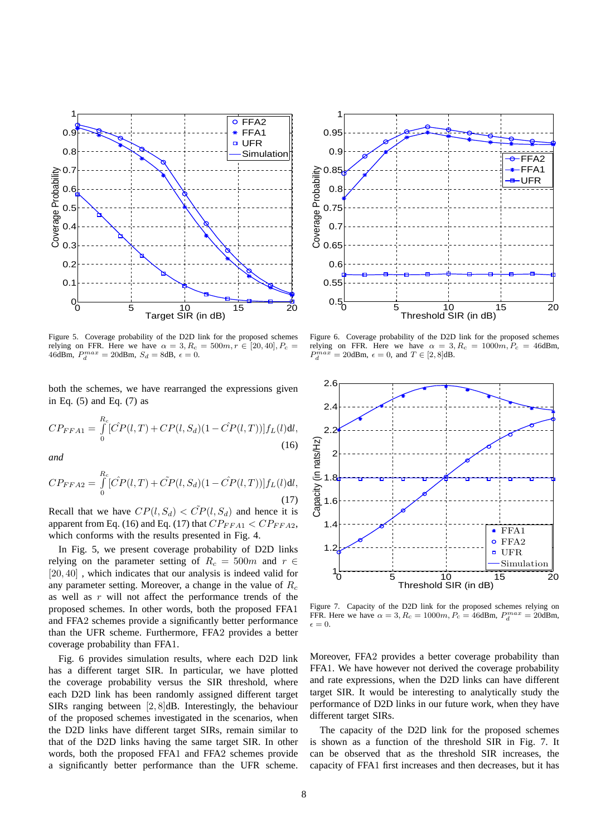

Figure 5. Coverage probability of the D2D link for the proposed schemes relying on FFR. Here we have  $\alpha = 3, R_c = 500m, r \in [20, 40], P_c =$ 46dBm,  $P_d^{max} = 20$ dBm,  $S_d = 8$ dB,  $\epsilon = 0$ .

both the schemes, we have rearranged the expressions given in Eq. (5) and Eq. (7) as

$$
CP_{FFA1} = \int_{0}^{R_c} [\hat{CP}(l,T) + CP(l,S_d)(1 - \hat{CP}(l,T))] f_L(l) \text{d}l,
$$
\n(16)

*and*

$$
CP_{FFA2} = \int_{0}^{R_c} [\hat{CP}(l,T) + \tilde{CP}(l,S_d)(1 - \hat{CP}(l,T))] f_L(l) \text{d}l,
$$
\n(17)

Recall that we have  $CP(l, S_d) < \tilde{CP}(l, S_d)$  and hence it is apparent from Eq. (16) and Eq. (17) that  $CP_{FFA1} < CP_{FFA2}$ , which conforms with the results presented in Fig. 4.

In Fig. 5, we present coverage probability of D2D links relying on the parameter setting of  $R_c = 500m$  and  $r \in$ [20, 40], which indicates that our analysis is indeed valid for any parameter setting. Moreover, a change in the value of  $R_c$ as well as  $r$  will not affect the performance trends of the proposed schemes. In other words, both the proposed FFA1 and FFA2 schemes provide a significantly better performance than the UFR scheme. Furthermore, FFA2 provides a better coverage probability than FFA1.

Fig. 6 provides simulation results, where each D2D link has a different target SIR. In particular, we have plotted the coverage probability versus the SIR threshold, where each D2D link has been randomly assigned different target SIRs ranging between [2, 8]dB. Interestingly, the behaviour of the proposed schemes investigated in the scenarios, when the D2D links have different target SIRs, remain similar to that of the D2D links having the same target SIR. In other words, both the proposed FFA1 and FFA2 schemes provide a significantly better performance than the UFR scheme.



Figure 6. Coverage probability of the D2D link for the proposed schemes relying on FFR. Here we have  $\alpha = 3, R_c = 1000m, P_c = 46$ dBm,  $P_d^{max} = 20$ dBm,  $\epsilon = 0$ , and  $T \in [2, 8]$ dB.



Figure 7. Capacity of the D2D link for the proposed schemes relying on FFR. Here we have  $\alpha = 3$ ,  $R_c = 1000m$ ,  $P_c = 46$ dBm,  $P_d^{max} = 20$ dBm,  $\epsilon = 0.$ 

Moreover, FFA2 provides a better coverage probability than FFA1. We have however not derived the coverage probability and rate expressions, when the D2D links can have different target SIR. It would be interesting to analytically study the performance of D2D links in our future work, when they have different target SIRs.

The capacity of the D2D link for the proposed schemes is shown as a function of the threshold SIR in Fig. 7. It can be observed that as the threshold SIR increases, the capacity of FFA1 first increases and then decreases, but it has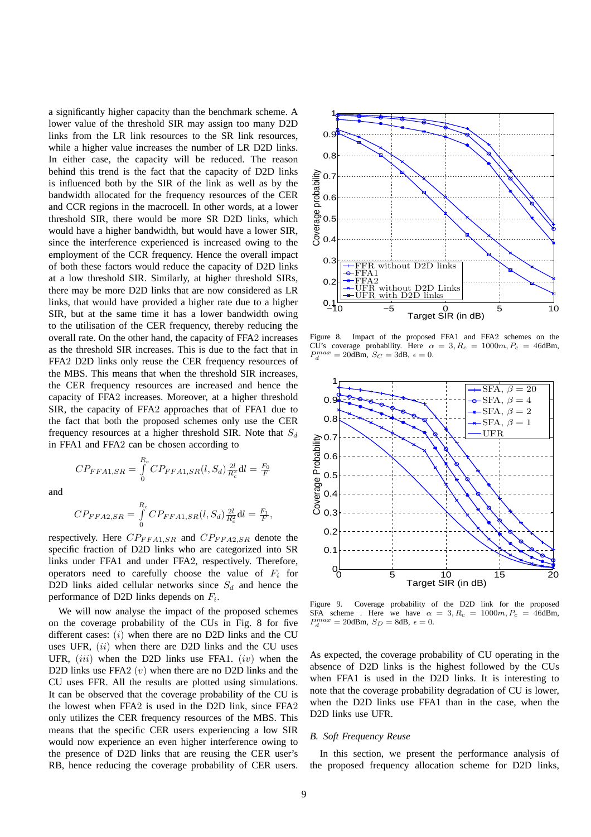a significantly higher capacity than the benchmark scheme. A lower value of the threshold SIR may assign too many D2D links from the LR link resources to the SR link resources, while a higher value increases the number of LR D2D links. In either case, the capacity will be reduced. The reason behind this trend is the fact that the capacity of D2D links is influenced both by the SIR of the link as well as by the bandwidth allocated for the frequency resources of the CER and CCR regions in the macrocell. In other words, at a lower threshold SIR, there would be more SR D2D links, which would have a higher bandwidth, but would have a lower SIR, since the interference experienced is increased owing to the employment of the CCR frequency. Hence the overall impact of both these factors would reduce the capacity of D2D links at a low threshold SIR. Similarly, at higher threshold SIRs, there may be more D2D links that are now considered as LR links, that would have provided a higher rate due to a higher SIR, but at the same time it has a lower bandwidth owing to the utilisation of the CER frequency, thereby reducing the overall rate. On the other hand, the capacity of FFA2 increases as the threshold SIR increases. This is due to the fact that in FFA2 D2D links only reuse the CER frequency resources of the MBS. This means that when the threshold SIR increases, the CER frequency resources are increased and hence the capacity of FFA2 increases. Moreover, at a higher threshold SIR, the capacity of FFA2 approaches that of FFA1 due to the fact that both the proposed schemes only use the CER frequency resources at a higher threshold SIR. Note that  $S_d$ in FFA1 and FFA2 can be chosen according to

and

 $CP_{FFA1,SR} = \int_{0}^{R_c}$ 

$$
CP_{FFA2,SR} = \int_{0}^{R_c} CP_{FFA1,SR}(l, S_d) \frac{2l}{R_c^2} dl = \frac{F_1}{F},
$$

 $\int\limits_0^{\tau} CP_{FFA1,SR}(l,S_d) \frac{2l}{R_c^2} {\rm d}l = \frac{F_0}{F}$ 

respectively. Here  $CP_{FFA1,SR}$  and  $CP_{FFA2,SR}$  denote the specific fraction of D2D links who are categorized into SR links under FFA1 and under FFA2, respectively. Therefore, operators need to carefully choose the value of  $F_i$  for D2D links aided cellular networks since  $S_d$  and hence the performance of D2D links depends on  $F_i$ .

We will now analyse the impact of the proposed schemes on the coverage probability of the CUs in Fig. 8 for five different cases:  $(i)$  when there are no D2D links and the CU uses UFR,  $(ii)$  when there are D2D links and the CU uses UFR,  $(iii)$  when the D2D links use FFA1.  $(iv)$  when the D2D links use FFA2  $(v)$  when there are no D2D links and the CU uses FFR. All the results are plotted using simulations. It can be observed that the coverage probability of the CU is the lowest when FFA2 is used in the D2D link, since FFA2 only utilizes the CER frequency resources of the MBS. This means that the specific CER users experiencing a low SIR would now experience an even higher interference owing to the presence of D2D links that are reusing the CER user's RB, hence reducing the coverage probability of CER users.



Figure 8. Impact of the proposed FFA1 and FFA2 schemes on the CU's coverage probability. Here  $\alpha = 3, R_c = 1000m, P_c = 46$ dBm,  $P_d^{max} = 20$ dBm,  $S_C = 3$ dB,  $\epsilon = 0$ .



Figure 9. Coverage probability of the D2D link for the proposed SFA scheme. Here we have  $\alpha = 3, R_c = 1000m, P_c = 46$ dBm,  $P_d^{max} = 20$ dBm,  $S_D = 8$ dB,  $\epsilon = 0$ .

As expected, the coverage probability of CU operating in the absence of D2D links is the highest followed by the CUs when FFA1 is used in the D2D links. It is interesting to note that the coverage probability degradation of CU is lower, when the D2D links use FFA1 than in the case, when the D2D links use UFR.

# *B. Soft Frequency Reuse*

In this section, we present the performance analysis of the proposed frequency allocation scheme for D2D links,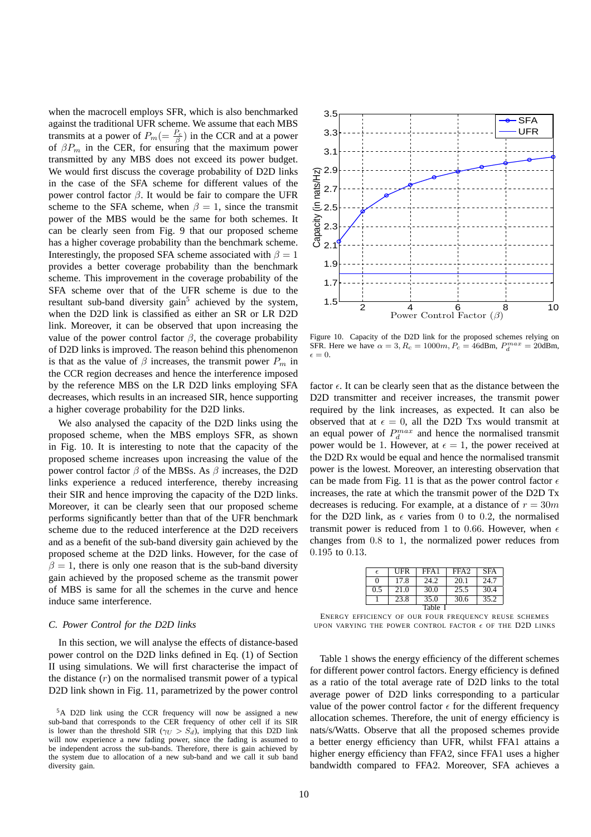when the macrocell employs SFR, which is also benchmarked against the traditional UFR scheme. We assume that each MBS transmits at a power of  $P_m = \frac{P_c}{\beta}$  in the CCR and at a power of  $\beta P_m$  in the CER, for ensuring that the maximum power transmitted by any MBS does not exceed its power budget. We would first discuss the coverage probability of D2D links in the case of the SFA scheme for different values of the power control factor β. It would be fair to compare the UFR scheme to the SFA scheme, when  $\beta = 1$ , since the transmit power of the MBS would be the same for both schemes. It can be clearly seen from Fig. 9 that our proposed scheme has a higher coverage probability than the benchmark scheme. Interestingly, the proposed SFA scheme associated with  $\beta = 1$ provides a better coverage probability than the benchmark scheme. This improvement in the coverage probability of the SFA scheme over that of the UFR scheme is due to the resultant sub-band diversity gain<sup>5</sup> achieved by the system, when the D2D link is classified as either an SR or LR D2D link. Moreover, it can be observed that upon increasing the value of the power control factor  $\beta$ , the coverage probability of D2D links is improved. The reason behind this phenomenon is that as the value of  $\beta$  increases, the transmit power  $P_m$  in the CCR region decreases and hence the interference imposed by the reference MBS on the LR D2D links employing SFA decreases, which results in an increased SIR, hence supporting a higher coverage probability for the D2D links.

We also analysed the capacity of the D2D links using the proposed scheme, when the MBS employs SFR, as shown in Fig. 10. It is interesting to note that the capacity of the proposed scheme increases upon increasing the value of the power control factor  $β$  of the MBSs. As  $β$  increases, the D2D links experience a reduced interference, thereby increasing their SIR and hence improving the capacity of the D2D links. Moreover, it can be clearly seen that our proposed scheme performs significantly better than that of the UFR benchmark scheme due to the reduced interference at the D2D receivers and as a benefit of the sub-band diversity gain achieved by the proposed scheme at the D2D links. However, for the case of  $\beta = 1$ , there is only one reason that is the sub-band diversity gain achieved by the proposed scheme as the transmit power of MBS is same for all the schemes in the curve and hence induce same interference.

# *C. Power Control for the D2D links*

In this section, we will analyse the effects of distance-based power control on the D2D links defined in Eq. (1) of Section II using simulations. We will first characterise the impact of the distance  $(r)$  on the normalised transmit power of a typical D2D link shown in Fig. 11, parametrized by the power control



Figure 10. Capacity of the D2D link for the proposed schemes relying on SFR. Here we have  $\alpha = 3$ ,  $R_c = 1000m$ ,  $P_c = 46$ dBm,  $P_d^{max} = 20$ dBm,  $\epsilon = 0.$ 

factor  $\epsilon$ . It can be clearly seen that as the distance between the D<sub>2</sub>D transmitter and receiver increases, the transmit power required by the link increases, as expected. It can also be observed that at  $\epsilon = 0$ , all the D2D Txs would transmit at an equal power of  $P_d^{max}$  and hence the normalised transmit power would be 1. However, at  $\epsilon = 1$ , the power received at the D2D Rx would be equal and hence the normalised transmit power is the lowest. Moreover, an interesting observation that can be made from Fig. 11 is that as the power control factor  $\epsilon$ increases, the rate at which the transmit power of the D2D Tx decreases is reducing. For example, at a distance of  $r = 30m$ for the D2D link, as  $\epsilon$  varies from 0 to 0.2, the normalised transmit power is reduced from 1 to 0.66. However, when  $\epsilon$ changes from 0.8 to 1, the normalized power reduces from 0.195 to 0.13.

| $\epsilon$ | UFR  | FFA <sub>1</sub> | FFA <sub>2</sub> | <b>SFA</b> |
|------------|------|------------------|------------------|------------|
| 0          | 17.8 | 24.2             | 20.1             | 24.7       |
| 0.5        | 21.0 | 30.0             | 25.5             | 30.4       |
|            | 23.8 | 35.0             | 30.6             | 35.2       |
| Table I    |      |                  |                  |            |

ENERGY EFFICIENCY OF OUR FOUR FREQUENCY REUSE SCHEMES UPON VARYING THE POWER CONTROL FACTOR  $\epsilon$  OF THE D2D LINKS

Table 1 shows the energy efficiency of the different schemes for different power control factors. Energy efficiency is defined as a ratio of the total average rate of D2D links to the total average power of D2D links corresponding to a particular value of the power control factor  $\epsilon$  for the different frequency allocation schemes. Therefore, the unit of energy efficiency is nats/s/Watts. Observe that all the proposed schemes provide a better energy efficiency than UFR, whilst FFA1 attains a higher energy efficiency than FFA2, since FFA1 uses a higher bandwidth compared to FFA2. Moreover, SFA achieves a

<sup>5</sup>A D2D link using the CCR frequency will now be assigned a new sub-band that corresponds to the CER frequency of other cell if its SIR is lower than the threshold SIR ( $\gamma_U > S_d$ ), implying that this D2D link will now experience a new fading power, since the fading is assumed to be independent across the sub-bands. Therefore, there is gain achieved by the system due to allocation of a new sub-band and we call it sub band diversity gain.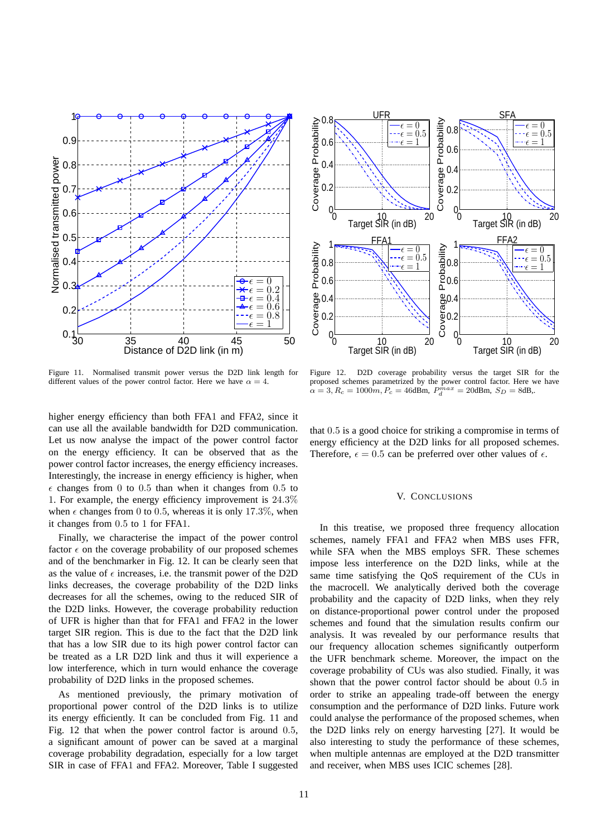

Figure 11. Normalised transmit power versus the D2D link length for different values of the power control factor. Here we have  $\alpha = 4$ .

higher energy efficiency than both FFA1 and FFA2, since it can use all the available bandwidth for D2D communication. Let us now analyse the impact of the power control factor on the energy efficiency. It can be observed that as the power control factor increases, the energy efficiency increases. Interestingly, the increase in energy efficiency is higher, when  $\epsilon$  changes from 0 to 0.5 than when it changes from 0.5 to 1. For example, the energy efficiency improvement is 24.3% when  $\epsilon$  changes from 0 to 0.5, whereas it is only 17.3%, when it changes from 0.5 to 1 for FFA1.

Finally, we characterise the impact of the power control factor  $\epsilon$  on the coverage probability of our proposed schemes and of the benchmarker in Fig. 12. It can be clearly seen that as the value of  $\epsilon$  increases, i.e. the transmit power of the D2D links decreases, the coverage probability of the D2D links decreases for all the schemes, owing to the reduced SIR of the D2D links. However, the coverage probability reduction of UFR is higher than that for FFA1 and FFA2 in the lower target SIR region. This is due to the fact that the D2D link that has a low SIR due to its high power control factor can be treated as a LR D2D link and thus it will experience a low interference, which in turn would enhance the coverage probability of D2D links in the proposed schemes.

As mentioned previously, the primary motivation of proportional power control of the D2D links is to utilize its energy efficiently. It can be concluded from Fig. 11 and Fig. 12 that when the power control factor is around 0.5, a significant amount of power can be saved at a marginal coverage probability degradation, especially for a low target SIR in case of FFA1 and FFA2. Moreover, Table I suggested



Figure 12. D2D coverage probability versus the target SIR for the proposed schemes parametrized by the power control factor. Here we have  $\alpha = 3, R_c = 1000m, P_c = 46$ dBm,  $P_d^{max} = 20$ dBm,  $S_D = 8$ dB,.

that 0.5 is a good choice for striking a compromise in terms of energy efficiency at the D2D links for all proposed schemes. Therefore,  $\epsilon = 0.5$  can be preferred over other values of  $\epsilon$ .

# V. CONCLUSIONS

In this treatise, we proposed three frequency allocation schemes, namely FFA1 and FFA2 when MBS uses FFR, while SFA when the MBS employs SFR. These schemes impose less interference on the D2D links, while at the same time satisfying the QoS requirement of the CUs in the macrocell. We analytically derived both the coverage probability and the capacity of D2D links, when they rely on distance-proportional power control under the proposed schemes and found that the simulation results confirm our analysis. It was revealed by our performance results that our frequency allocation schemes significantly outperform the UFR benchmark scheme. Moreover, the impact on the coverage probability of CUs was also studied. Finally, it was shown that the power control factor should be about 0.5 in order to strike an appealing trade-off between the energy consumption and the performance of D2D links. Future work could analyse the performance of the proposed schemes, when the D2D links rely on energy harvesting [27]. It would be also interesting to study the performance of these schemes, when multiple antennas are employed at the D2D transmitter and receiver, when MBS uses ICIC schemes [28].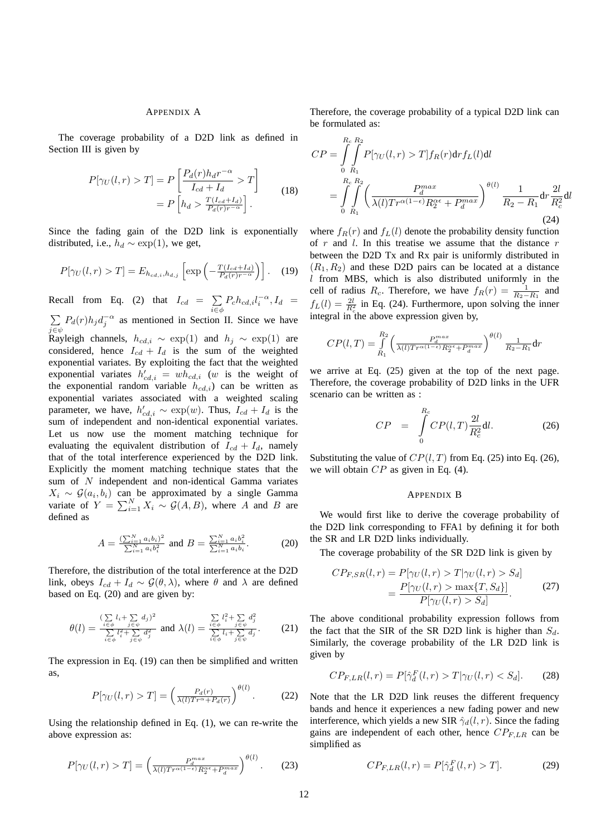#### APPENDIX A

The coverage probability of a D2D link as defined in Section III is given by

$$
P[\gamma_U(l,r) > T] = P\left[\frac{P_d(r)h_d r^{-\alpha}}{I_{cd} + I_d} > T\right]
$$

$$
= P\left[h_d > \frac{T(I_{cd} + I_d)}{P_d(r)r^{-\alpha}}\right].
$$
(18)

Since the fading gain of the D2D link is exponentially distributed, i.e.,  $h_d \sim \exp(1)$ , we get,

$$
P[\gamma_U(l,r) > T] = E_{h_{cd,i},h_{d,j}} \left[ \exp\left( -\frac{T(I_{cd} + I_d)}{P_d(r)r^{-\alpha}} \right) \right].
$$
 (19)

Recall from Eq. (2) that  $I_{cd} = \sum$  $\sum_{i \in \phi} P_c h_{cd,i} l_i^{-\alpha}, I_d =$  $\sum P_d(r)h_j d_j^{-\alpha}$  as mentioned in Section II. Since we have  $j \in \psi$ <br>Rayleigh channels,  $h_{cd,i} \sim \exp(1)$  and  $h_j \sim \exp(1)$  are considered, hence  $I_{cd} + I_d$  is the sum of the weighted exponential variates. By exploiting the fact that the weighted exponential variates  $h'_{cd,i} = wh_{cd,i}$  (w is the weight of the exponential random variable  $h_{cd,i}$ ) can be written as exponential variates associated with a weighted scaling parameter, we have,  $h'_{cd,i} \sim \exp(w)$ . Thus,  $I_{cd} + I_d$  is the sum of independent and non-identical exponential variates. Let us now use the moment matching technique for evaluating the equivalent distribution of  $I_{cd} + I_d$ , namely that of the total interference experienced by the D2D link. Explicitly the moment matching technique states that the sum of N independent and non-identical Gamma variates  $X_i \sim \mathcal{G}(a_i, b_i)$  can be approximated by a single Gamma variate of  $Y = \sum_{i=1}^{N} X_i \sim \mathcal{G}(A, B)$ , where A and B are defined as

$$
A = \frac{\left(\sum_{i=1}^{N} a_i b_i\right)^2}{\sum_{i=1}^{N} a_i b_i^2}
$$
 and 
$$
B = \frac{\sum_{i=1}^{N} a_i b_i^2}{\sum_{i=1}^{N} a_i b_i}.
$$
 (20)

Therefore, the distribution of the total interference at the D2D link, obeys  $I_{cd} + I_d \sim \mathcal{G}(\theta, \lambda)$ , where  $\theta$  and  $\lambda$  are defined based on Eq. (20) and are given by:

$$
\theta(l) = \frac{\sum\limits_{i \in \phi} l_i + \sum\limits_{j \in \psi} d_j^2}{\sum\limits_{i \in \phi} l_i^2 + \sum\limits_{j \in \psi} d_j^2}
$$
 and 
$$
\lambda(l) = \frac{\sum\limits_{i \in \phi} l_i^2 + \sum\limits_{j \in \psi} d_j^2}{\sum\limits_{i \in \phi} l_i + \sum\limits_{j \in \psi} d_j}.
$$
 (21)

The expression in Eq. (19) can then be simplified and written as,

$$
P[\gamma_U(l,r) > T] = \left(\frac{P_d(r)}{\lambda(l)Tr^{\alpha} + P_d(r)}\right)^{\theta(l)}.\tag{22}
$$

Using the relationship defined in Eq. (1), we can re-write the above expression as:

$$
P[\gamma_U(l,r) > T] = \left(\frac{P_d^{max}}{\lambda(l)Tr^{\alpha(1-\epsilon)}R_2^{\alpha\epsilon} + P_d^{max}}\right)^{\theta(l)}.\tag{23}
$$

Therefore, the coverage probability of a typical D2D link can be formulated as:

$$
CP = \int_{0}^{R_c} \int_{R_1}^{R_2} P[\gamma_U(l, r) > T] f_R(r) dr f_L(l) dl
$$
  
= 
$$
\int_{0}^{R_c} \int_{R_1}^{R_2} \left( \frac{P_d^{max}}{\lambda(l) Tr^{\alpha(1-\epsilon)} R_2^{\alpha\epsilon} + P_d^{max}} \right)^{\theta(l)} \frac{1}{R_2 - R_1} dr \frac{2l}{R_c^2} dl
$$
  
(24)

where  $f_R(r)$  and  $f_L(l)$  denote the probability density function of  $r$  and  $l$ . In this treatise we assume that the distance  $r$ between the D2D Tx and Rx pair is uniformly distributed in  $(R_1, R_2)$  and these D2D pairs can be located at a distance  $l$  from MBS, which is also distributed uniformly in the cell of radius  $R_c$ . Therefore, we have  $f_R(r) = \frac{1}{R_2 - R_1}$  and  $f_L(l) = \frac{2l}{R_c^2}$  in Eq. (24). Furthermore, upon solving the inner integral in the above expression given by,

$$
CP(l,T) = \int_{R_1}^{R_2} \left( \frac{P_d^{max}}{\lambda(l)Tr^{\alpha(1-\epsilon)}R_2^{\alpha\epsilon} + P_d^{max}} \right)^{\theta(l)} \frac{1}{R_2 - R_1} dr
$$

we arrive at Eq. (25) given at the top of the next page. Therefore, the coverage probability of D2D links in the UFR scenario can be written as :

$$
CP = \int_{0}^{R_c} CP(l,T)\frac{2l}{R_c^2}dl.
$$
 (26)

Substituting the value of  $CP(l, T)$  from Eq. (25) into Eq. (26), we will obtain CP as given in Eq. (4).

### APPENDIX B

We would first like to derive the coverage probability of the D2D link corresponding to FFA1 by defining it for both the SR and LR D2D links individually.

The coverage probability of the SR D2D link is given by

$$
CP_{F,SR}(l,r) = P[\gamma_U(l,r) > T | \gamma_U(l,r) > S_d]
$$

$$
= \frac{P[\gamma_U(l,r) > \max\{T, S_d\}]}{P[\gamma_U(l,r) > S_d]}.
$$
(27)

The above conditional probability expression follows from the fact that the SIR of the SR D2D link is higher than  $S_d$ . Similarly, the coverage probability of the LR D2D link is given by

$$
CP_{F,LR}(l,r) = P[\hat{\gamma}_d^F(l,r) > T | \gamma_U(l,r) < S_d]. \tag{28}
$$

Note that the LR D2D link reuses the different frequency bands and hence it experiences a new fading power and new interference, which yields a new SIR  $\hat{\gamma}_d(l, r)$ . Since the fading gains are independent of each other, hence  $CP_{F,LR}$  can be simplified as

$$
CP_{F,LR}(l,r) = P[\hat{\gamma}_d^F(l,r) > T]. \tag{29}
$$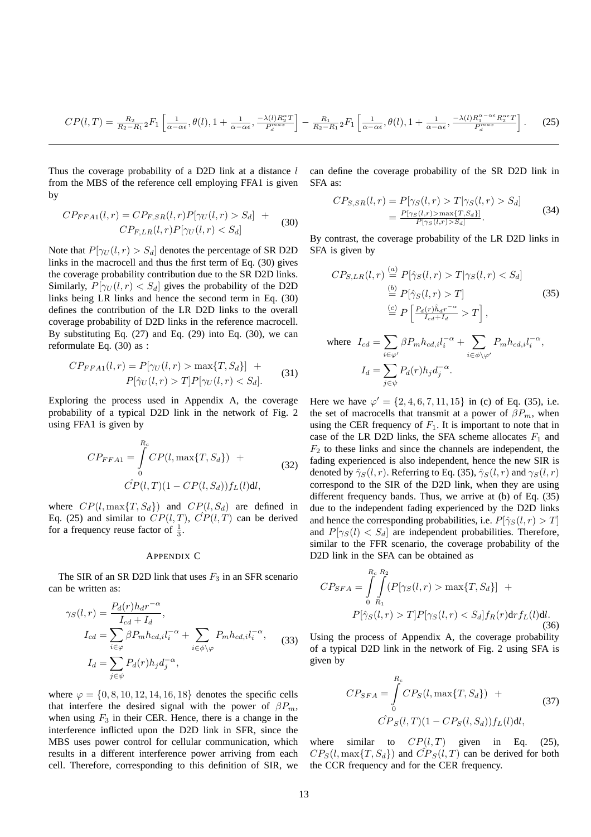$$
CP(l,T) = \frac{R_2}{R_2 - R_1} {}_2F_1 \left[ \frac{1}{\alpha - \alpha \epsilon}, \theta(l), 1 + \frac{1}{\alpha - \alpha \epsilon}, \frac{-\lambda(l)R_2^{\alpha}T}{P_d^{\alpha}^{n\alpha}} \right] - \frac{R_1}{R_2 - R_1} {}_2F_1 \left[ \frac{1}{\alpha - \alpha \epsilon}, \theta(l), 1 + \frac{1}{\alpha - \alpha \epsilon}, \frac{-\lambda(l)R_1^{\alpha - \alpha \epsilon}R_2^{\alpha \epsilon}T}{P_d^{\alpha}^{n\alpha}} \right].
$$
 (25)

Thus the coverage probability of a D2D link at a distance  $l$ from the MBS of the reference cell employing FFA1 is given by

$$
CP_{FFA1}(l,r) = CP_{F,SR}(l,r)P[\gamma_U(l,r) > S_d] + CP_{F,LR}(l,r)P[\gamma_U(l,r) < S_d]
$$
\n
$$
(30)
$$

Note that  $P[\gamma_U(l,r) > S_d]$  denotes the percentage of SR D2D links in the macrocell and thus the first term of Eq. (30) gives the coverage probability contribution due to the SR D2D links. Similarly,  $P[\gamma_U(l, r) < S_d]$  gives the probability of the D2D links being LR links and hence the second term in Eq. (30) defines the contribution of the LR D2D links to the overall coverage probability of D2D links in the reference macrocell. By substituting Eq.  $(27)$  and Eq.  $(29)$  into Eq.  $(30)$ , we can reformulate Eq. (30) as :

$$
CP_{FFA1}(l,r) = P[\gamma_U(l,r) > \max\{T, S_d\}] + P[\hat{\gamma}_U(l,r) > T]P[\gamma_U(l,r) < S_d].
$$
 (31)

Exploring the process used in Appendix A, the coverage probability of a typical D2D link in the network of Fig. 2 using FFA1 is given by

$$
CP_{FFA1} = \int_{0}^{R_c} CP(l, \max\{T, S_d\}) +
$$
  

$$
\hat{CP}(l, T)(1 - CP(l, S_d))f_L(l)dl,
$$
 (32)

where  $CP(l, \max\{T, S_d\})$  and  $CP(l, S_d)$  are defined in Eq. (25) and similar to  $CP(l, T)$ ,  $CP(l, T)$  can be derived for a frequency reuse factor of  $\frac{1}{3}$ .

# APPENDIX C

The SIR of an SR D2D link that uses  $F_3$  in an SFR scenario can be written as:

$$
\gamma_S(l,r) = \frac{P_d(r)h_d r^{-\alpha}}{I_{cd} + I_d},
$$
  
\n
$$
I_{cd} = \sum_{i \in \varphi} \beta P_m h_{cd,i} l_i^{-\alpha} + \sum_{i \in \phi \setminus \varphi} P_m h_{cd,i} l_i^{-\alpha},
$$
  
\n
$$
I_d = \sum_{j \in \psi} P_d(r) h_j d_j^{-\alpha},
$$
\n(33)

where  $\varphi = \{0, 8, 10, 12, 14, 16, 18\}$  denotes the specific cells that interfere the desired signal with the power of  $\beta P_m$ , when using  $F_3$  in their CER. Hence, there is a change in the interference inflicted upon the D2D link in SFR, since the MBS uses power control for cellular communication, which results in a different interference power arriving from each cell. Therefore, corresponding to this definition of SIR, we

can define the coverage probability of the SR D2D link in SFA as:

$$
CP_{S,SR}(l,r) = P[\gamma_S(l,r) > T | \gamma_S(l,r) > S_d]
$$
  
= 
$$
\frac{P[\gamma_S(l,r) > \max\{T, S_d\}]}{P[\gamma_S(l,r) > S_d]}.
$$
 (34)

By contrast, the coverage probability of the LR D2D links in SFA is given by

$$
CP_{S,LR}(l,r) \stackrel{(a)}{=} P[\hat{\gamma}_S(l,r) > T | \gamma_S(l,r) < S_d]
$$
\n
$$
\stackrel{(b)}{=} P[\hat{\gamma}_S(l,r) > T] \tag{35}
$$
\n
$$
\stackrel{(c)}{=} P\left[\frac{P_d(r)\hat{h}_d r^{-\alpha}}{I_{cd} + I_d} > T\right],
$$
\n
$$
\text{where } I_{cd} = \sum_{i \in \varphi'} \beta P_m h_{cd,i} l_i^{-\alpha} + \sum_{i \in \phi \setminus \varphi'} P_m h_{cd,i} l_i^{-\alpha},
$$
\n
$$
I_d = \sum_{j \in \psi} P_d(r) h_j d_j^{-\alpha}.
$$

Here we have  $\varphi' = \{2, 4, 6, 7, 11, 15\}$  in (c) of Eq. (35), i.e. the set of macrocells that transmit at a power of  $\beta P_m$ , when using the CER frequency of  $F_1$ . It is important to note that in case of the LR D2D links, the SFA scheme allocates  $F_1$  and  $F<sub>2</sub>$  to these links and since the channels are independent, the fading experienced is also independent, hence the new SIR is denoted by  $\hat{\gamma}_S(l, r)$ . Referring to Eq. (35),  $\hat{\gamma}_S(l, r)$  and  $\gamma_S(l, r)$ correspond to the SIR of the D2D link, when they are using different frequency bands. Thus, we arrive at (b) of Eq. (35) due to the independent fading experienced by the D2D links and hence the corresponding probabilities, i.e.  $P[\hat{\gamma}_S(l, r) > T]$ and  $P[\gamma_S(l) < S_d]$  are independent probabilities. Therefore, similar to the FFR scenario, the coverage probability of the D2D link in the SFA can be obtained as

$$
CP_{SFA} = \int_{0}^{R_c} \int_{R_1}^{R_2} (P[\gamma_S(l, r) > \max\{T, S_d\}] + P[\hat{\gamma}_S(l, r) > T]P[\gamma_S(l, r) < S_d]f_R(r) \mathrm{d}r f_L(l) \mathrm{d}l.
$$
\n(36)

Using the process of Appendix A, the coverage probability of a typical D2D link in the network of Fig. 2 using SFA is given by

$$
CP_{SFA} = \int_{0}^{R_c} CP_S(l, \max\{T, S_d\}) + C\hat{P}_S(l, T)(1 - CP_S(l, S_d))f_L(l)dl,
$$
\n(37)

where similar to  $CP(l, T)$  given in Eq. (25),  $CP_S(l, \max\{T, S_d\})$  and  $\hat{CP}_S(l, T)$  can be derived for both the CCR frequency and for the CER frequency.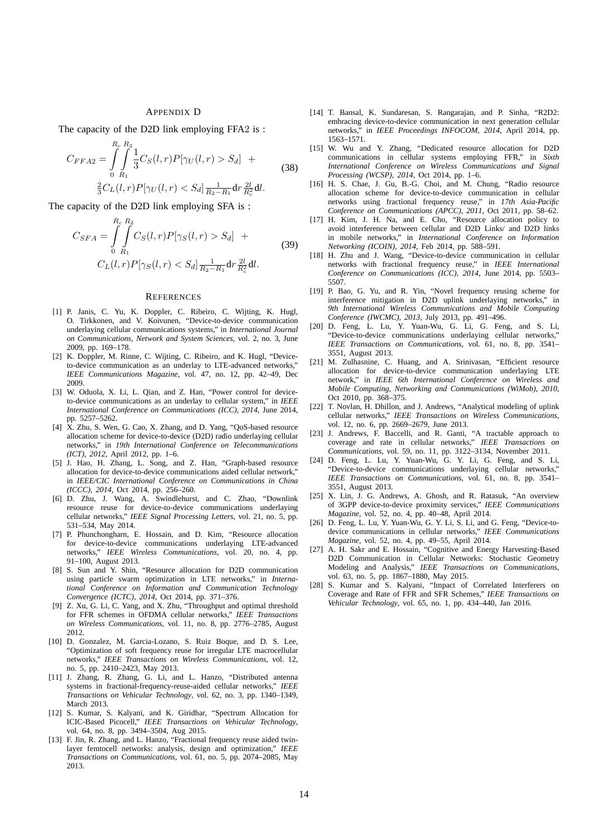# APPENDIX D

The capacity of the D2D link employing FFA2 is :

$$
C_{FFA2} = \int_{0}^{R_c} \int_{R_1}^{R_2} \frac{1}{3} C_S(l, r) P[\gamma_U(l, r) > S_d] +
$$
  

$$
\frac{2}{3} C_L(l, r) P[\gamma_U(l, r) < S_d] \frac{1}{R_2 - R_1} dr \frac{2l}{R_c^2} dl.
$$
 (38)

The capacity of the D2D link employing SFA is :

$$
C_{SFA} = \int_{0}^{R_c} \int_{R_1}^{R_2} C_S(l, r) P[\gamma_S(l, r) > S_d] + C_L(l, r) P[\gamma_S(l, r) < S_d] \frac{1}{R_2 - R_1} dr \frac{2l}{R_c^2} dl.
$$
\n(39)

#### **REFERENCES**

- [1] P. Janis, C. Yu, K. Doppler, C. Ribeiro, C. Wijting, K. Hugl, O. Tirkkonen, and V. Koivunen, "Device-to-device communication underlaying cellular communications systems," in *International Journal on Communications, Network and System Sciences*, vol. 2, no. 3, June 2009, pp. 169–178.
- [2] K. Doppler, M. Rinne, C. Wijting, C. Ribeiro, and K. Hugl, "Deviceto-device communication as an underlay to LTE-advanced networks," *IEEE Communications Magazine*, vol. 47, no. 12, pp. 42–49, Dec 2009.
- [3] W. Oduola, X. Li, L. Qian, and Z. Han, "Power control for deviceto-device communications as an underlay to cellular system," in *IEEE International Conference on Communications (ICC), 2014*, June 2014, pp. 5257–5262.
- [4] X. Zhu, S. Wen, G. Cao, X. Zhang, and D. Yang, "QoS-based resource allocation scheme for device-to-device (D2D) radio underlaying cellular networks," in *19th International Conference on Telecommunications (ICT), 2012*, April 2012, pp. 1–6.
- [5] J. Hao, H. Zhang, L. Song, and Z. Han, "Graph-based resource allocation for device-to-device communications aided cellular network," in *IEEE/CIC International Conference on Communications in China (ICCC), 2014*, Oct 2014, pp. 256–260.
- [6] D. Zhu, J. Wang, A. Swindlehurst, and C. Zhao, "Downlink resource reuse for device-to-device communications underlaying cellular networks," *IEEE Signal Processing Letters*, vol. 21, no. 5, pp. 531–534, May 2014.
- [7] P. Phunchongharn, E. Hossain, and D. Kim, "Resource allocation for device-to-device communications underlaying LTE-advanced networks," *IEEE Wireless Communications*, vol. 20, no. 4, pp. 91–100, August 2013.
- [8] S. Sun and Y. Shin, "Resource allocation for D2D communication using particle swarm optimization in LTE networks," in *International Conference on Information and Communication Technology Convergence (ICTC), 2014*, Oct 2014, pp. 371–376.
- [9] Z. Xu, G. Li, C. Yang, and X. Zhu, "Throughput and optimal threshold for FFR schemes in OFDMA cellular networks," *IEEE Transactions on Wireless Communications*, vol. 11, no. 8, pp. 2776–2785, August 2012.
- [10] D. Gonzalez, M. Garcia-Lozano, S. Ruiz Boque, and D. S. Lee, "Optimization of soft frequency reuse for irregular LTE macrocellular networks," *IEEE Transactions on Wireless Communications*, vol. 12, no. 5, pp. 2410–2423, May 2013.
- [11] J. Zhang, R. Zhang, G. Li, and L. Hanzo, "Distributed antenna systems in fractional-frequency-reuse-aided cellular networks," *IEEE Transactions on Vehicular Technology*, vol. 62, no. 3, pp. 1340–1349, March 2013.
- [12] S. Kumar, S. Kalyani, and K. Giridhar, "Spectrum Allocation for ICIC-Based Picocell," *IEEE Transactions on Vehicular Technology*, vol. 64, no. 8, pp. 3494–3504, Aug 2015.
- [13] F. Jin, R. Zhang, and L. Hanzo, "Fractional frequency reuse aided twinlayer femtocell networks: analysis, design and optimization," *IEEE Transactions on Communications*, vol. 61, no. 5, pp. 2074–2085, May 2013.
- [14] T. Bansal, K. Sundaresan, S. Rangarajan, and P. Sinha, "R2D2: embracing device-to-device communication in next generation cellular networks," in *IEEE Proceedings INFOCOM, 2014*, April 2014, pp. 1563–1571.
- [15] W. Wu and Y. Zhang, "Dedicated resource allocation for D2D communications in cellular systems employing FFR," in *Sixth International Conference on Wireless Communications and Signal Processing (WCSP), 2014*, Oct 2014, pp. 1–6.
- [16] H. S. Chae, J. Gu, B.-G. Choi, and M. Chung, "Radio resource allocation scheme for device-to-device communication in cellular networks using fractional frequency reuse," in *17th Asia-Pacific Conference on Communications (APCC), 2011*, Oct 2011, pp. 58–62.
- [17] H. Kim, J. H. Na, and E. Cho, "Resource allocation policy to avoid interference between cellular and D2D Links/ and D2D links in mobile networks," in *International Conference on Information Networking (ICOIN), 2014*, Feb 2014, pp. 588–591.
- [18] H. Zhu and J. Wang, "Device-to-device communication in cellular networks with fractional frequency reuse," in *IEEE International Conference on Communications (ICC), 2014*, June 2014, pp. 5503– 5507.
- [19] P. Bao, G. Yu, and R. Yin, "Novel frequency reusing scheme for interference mitigation in D2D uplink underlaying networks," in *9th International Wireless Communications and Mobile Computing Conference (IWCMC), 2013*, July 2013, pp. 491–496.
- [20] D. Feng, L. Lu, Y. Yuan-Wu, G. Li, G. Feng, and S. Li, "Device-to-device communications underlaying cellular networks," *IEEE Transactions on Communications*, vol. 61, no. 8, pp. 3541– 3551, August 2013.
- [21] M. Zulhasnine, C. Huang, and A. Srinivasan, "Efficient resource allocation for device-to-device communication underlaying LTE network," in *IEEE 6th International Conference on Wireless and Mobile Computing, Networking and Communications (WiMob), 2010*, Oct 2010, pp. 368–375.
- [22] T. Novlan, H. Dhillon, and J. Andrews, "Analytical modeling of uplink cellular networks," *IEEE Transactions on Wireless Communications*, vol. 12, no. 6, pp. 2669–2679, June 2013.
- [23] J. Andrews, F. Baccelli, and R. Ganti, "A tractable approach to coverage and rate in cellular networks," *IEEE Transactions on Communications*, vol. 59, no. 11, pp. 3122–3134, November 2011.
- [24] D. Feng, L. Lu, Y. Yuan-Wu, G. Y. Li, G. Feng, and S. Li, "Device-to-device communications underlaying cellular networks," *IEEE Transactions on Communications*, vol. 61, no. 8, pp. 3541– 3551, August 2013.
- [25] X. Lin, J. G. Andrews, A. Ghosh, and R. Ratasuk, "An overview of 3GPP device-to-device proximity services," *IEEE Communications Magazine*, vol. 52, no. 4, pp. 40–48, April 2014.
- [26] D. Feng, L. Lu, Y. Yuan-Wu, G. Y. Li, S. Li, and G. Feng, "Device-todevice communications in cellular networks," *IEEE Communications Magazine*, vol. 52, no. 4, pp. 49–55, April 2014.
- [27] A. H. Sakr and E. Hossain, "Cognitive and Energy Harvesting-Based D2D Communication in Cellular Networks: Stochastic Geometry Modeling and Analysis," *IEEE Transactions on Communications*, vol. 63, no. 5, pp. 1867–1880, May 2015.
- [28] S. Kumar and S. Kalyani, "Impact of Correlated Interferers on Coverage and Rate of FFR and SFR Schemes," *IEEE Transactions on Vehicular Technology*, vol. 65, no. 1, pp. 434–440, Jan 2016.